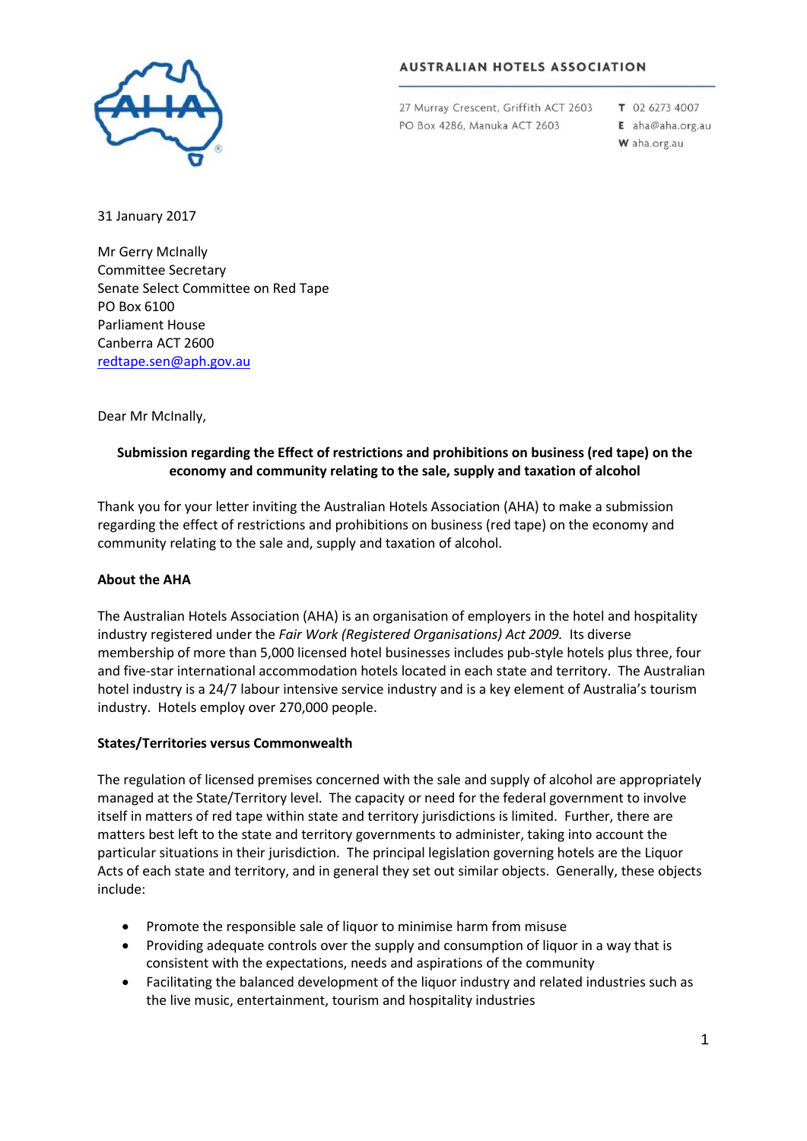

# **AUSTRALIAN HOTELS ASSOCIATION**

27 Murray Crescent, Griffith ACT 2603 PO Box 4286, Manuka ACT 2603

T 02 6273 4007

- E aha@aha.org.au
- W aha.org.au

31 January 2017

Mr Gerry McInally Committee Secretary Senate Select Committee on Red Tape PO Box 6100 Parliament House Canberra ACT 2600 [redtape.sen@aph.gov.au](mailto:redtape.sen@aph.gov.au)

### Dear Mr McInally,

## **Submission regarding the Effect of restrictions and prohibitions on business (red tape) on the economy and community relating to the sale, supply and taxation of alcohol**

Thank you for your letter inviting the Australian Hotels Association (AHA) to make a submission regarding the effect of restrictions and prohibitions on business (red tape) on the economy and community relating to the sale and, supply and taxation of alcohol.

#### **About the AHA**

The Australian Hotels Association (AHA) is an organisation of employers in the hotel and hospitality industry registered under the *Fair Work (Registered Organisations) Act 2009.* Its diverse membership of more than 5,000 licensed hotel businesses includes pub-style hotels plus three, four and five-star international accommodation hotels located in each state and territory. The Australian hotel industry is a 24/7 labour intensive service industry and is a key element of Australia's tourism industry. Hotels employ over 270,000 people.

#### **States/Territories versus Commonwealth**

The regulation of licensed premises concerned with the sale and supply of alcohol are appropriately managed at the State/Territory level. The capacity or need for the federal government to involve itself in matters of red tape within state and territory jurisdictions is limited. Further, there are matters best left to the state and territory governments to administer, taking into account the particular situations in their jurisdiction. The principal legislation governing hotels are the Liquor Acts of each state and territory, and in general they set out similar objects. Generally, these objects include:

- Promote the responsible sale of liquor to minimise harm from misuse
- Providing adequate controls over the supply and consumption of liquor in a way that is consistent with the expectations, needs and aspirations of the community
- Facilitating the balanced development of the liquor industry and related industries such as the live music, entertainment, tourism and hospitality industries